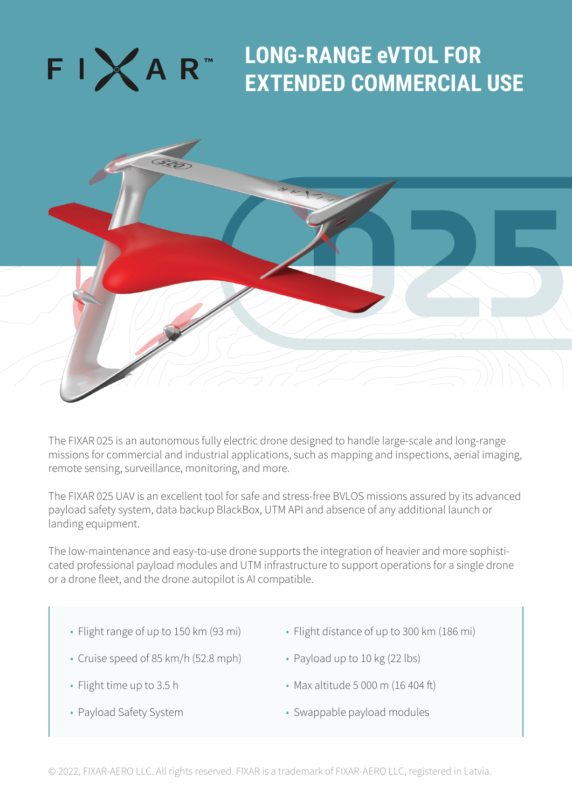## FIXAR"

## **LONG-RANGE eVTOL FOR EXTENDED COMMERCIAL USE**



The FIXAR 025 is an autonomous fully electric drone designed to handle large-scale and long-range missions for commercial and industrial applications, such as mapping and inspections, aerial imaging, remote sensing, surveillance, monitoring, and more.

The FIXAR 025 UAV is an excellent tool for safe and stress-free BVLOS missions assured by its advanced payload safety system, data backup BlackBox, UTM API and absence of any additional launch or landing equipment.

The low-maintenance and easy-to-use drone supports the integration of heavier and more sophisticated professional payload modules and UTM infrastructure to support operations for a single drone or a drone fleet, and the drone autopilot is AI compatible.

- Flight range of up to 150 km (93 mi)
- Flight distance of up to 300 km (186 mi)
- Cruise speed of 85 km/h (52.8 mph)
- Payload up to 10 kg (22 lbs)

• Flight time up to 3.5 h

• Max altitude 5 000 m (16 404 ft)

• Payload Safety System

• Swappable payload modules